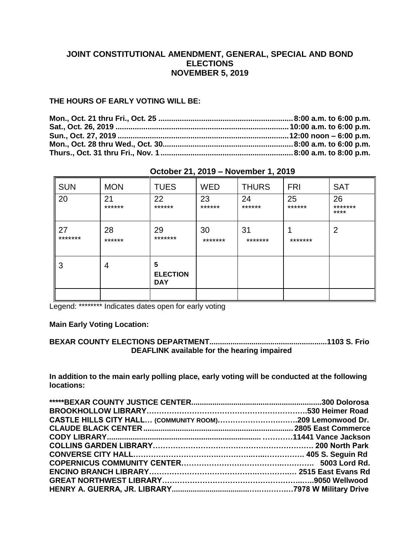# **JOINT CONSTITUTIONAL AMENDMENT, GENERAL, SPECIAL AND BOND ELECTIONS NOVEMBER 5, 2019**

### **THE HOURS OF EARLY VOTING WILL BE:**

| <b>SUN</b>    | <b>MON</b>   | <b>TUES</b>                        | <b>WED</b>    | <b>THURS</b>  | <b>FRI</b>   | <b>SAT</b>            |
|---------------|--------------|------------------------------------|---------------|---------------|--------------|-----------------------|
| 20            | 21<br>****** | 22<br>******                       | 23<br>******  | 24<br>******  | 25<br>****** | 26<br>*******<br>**** |
| 27<br>******* | 28<br>****** | 29<br>*******                      | 30<br>******* | 31<br>******* | *******      | 2                     |
| 3             | 4            | 5<br><b>ELECTION</b><br><b>DAY</b> |               |               |              |                       |
|               |              |                                    |               |               |              |                       |

# **October 21, 2019 – November 1, 2019**

Legend: \*\*\*\*\*\*\*\*\* Indicates dates open for early voting

### **Main Early Voting Location:**

### **BEXAR COUNTY ELECTIONS DEPARTMENT........................................................1103 S. Frio DEAFLINK available for the hearing impaired**

**In addition to the main early polling place, early voting will be conducted at the following locations:** 

| CASTLE HILLS CITY HALL (COMMUNITY ROOM)209 Lemonwood Dr. |  |
|----------------------------------------------------------|--|
|                                                          |  |
|                                                          |  |
|                                                          |  |
|                                                          |  |
|                                                          |  |
|                                                          |  |
|                                                          |  |
|                                                          |  |